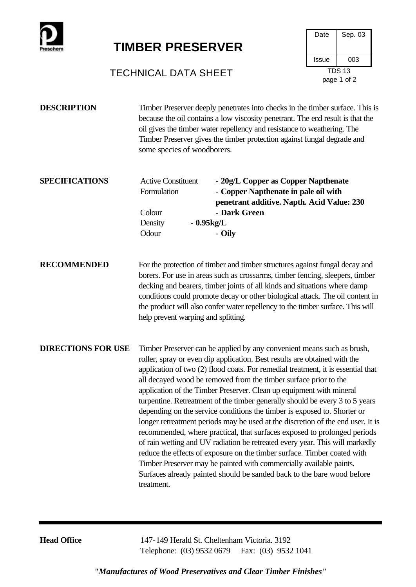

## **TIMBER PRESERVER**



## TECHNICAL DATA SHEET TDS 13

| Timber Preserver deeply penetrates into checks in the timber surface. This is  |
|--------------------------------------------------------------------------------|
| because the oil contains a low viscosity penetrant. The end result is that the |
| oil gives the timber water repellency and resistance to weathering. The        |
| Timber Preserver gives the timber protection against fungal degrade and        |
| some species of woodborers.                                                    |
|                                                                                |

| <b>SPECIFICATIONS</b> | <b>Active Constituent</b><br>Formulation | - 20g/L Copper as Copper Napthenate<br>- Copper Napthenate in pale oil with<br>penetrant additive. Napth. Acid Value: 230 |
|-----------------------|------------------------------------------|---------------------------------------------------------------------------------------------------------------------------|
|                       | Colour                                   | - Dark Green                                                                                                              |
|                       | Density                                  | $-0.95kg/L$                                                                                                               |
|                       | Odour                                    | - Oily                                                                                                                    |

**RECOMMENDED** For the protection of timber and timber structures against fungal decay and borers. For use in areas such as crossarms, timber fencing, sleepers, timber decking and bearers, timber joints of all kinds and situations where damp conditions could promote decay or other biological attack. The oil content in the product will also confer water repellency to the timber surface. This will help prevent warping and splitting.

**DIRECTIONS FOR USE** Timber Preserver can be applied by any convenient means such as brush, roller, spray or even dip application. Best results are obtained with the application of two (2) flood coats. For remedial treatment, it is essential that all decayed wood be removed from the timber surface prior to the application of the Timber Preserver. Clean up equipment with mineral turpentine. Retreatment of the timber generally should be every 3 to 5 years depending on the service conditions the timber is exposed to. Shorter or longer retreatment periods may be used at the discretion of the end user. It is recommended, where practical, that surfaces exposed to prolonged periods of rain wetting and UV radiation be retreated every year. This will markedly reduce the effects of exposure on the timber surface. Timber coated with Timber Preserver may be painted with commercially available paints. Surfaces already painted should be sanded back to the bare wood before treatment.

**Head Office** 147-149 Herald St. Cheltenham Victoria. 3192 Telephone: (03) 9532 0679 Fax: (03) 9532 1041

*"Manufactures of Wood Preservatives and Clear Timber Finishes"*